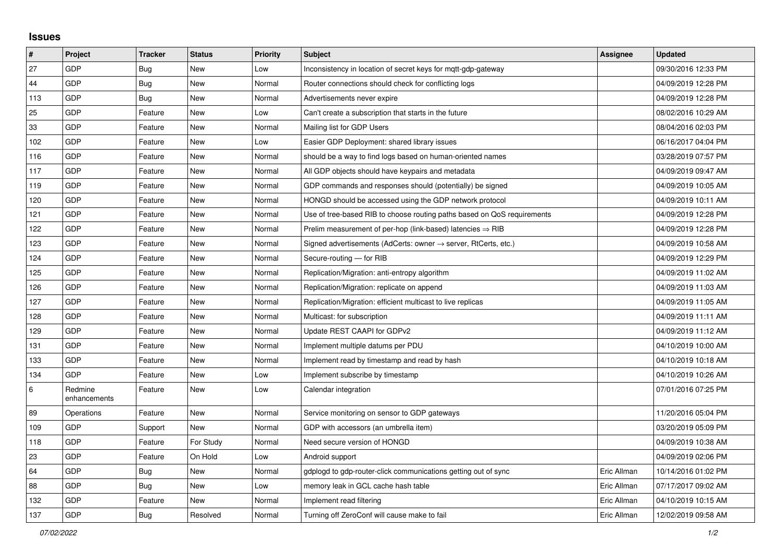## **Issues**

| $\sharp$ | Project                 | <b>Tracker</b> | <b>Status</b> | Priority | <b>Subject</b>                                                             | <b>Assignee</b> | <b>Updated</b>      |
|----------|-------------------------|----------------|---------------|----------|----------------------------------------------------------------------------|-----------------|---------------------|
| 27       | GDP                     | Bug            | <b>New</b>    | Low      | Inconsistency in location of secret keys for mgtt-gdp-gateway              |                 | 09/30/2016 12:33 PM |
| 44       | GDP                     | <b>Bug</b>     | <b>New</b>    | Normal   | Router connections should check for conflicting logs                       |                 | 04/09/2019 12:28 PM |
| 113      | GDP                     | <b>Bug</b>     | <b>New</b>    | Normal   | Advertisements never expire                                                |                 | 04/09/2019 12:28 PM |
| 25       | <b>GDP</b>              | Feature        | <b>New</b>    | Low      | Can't create a subscription that starts in the future                      |                 | 08/02/2016 10:29 AM |
| 33       | GDP                     | Feature        | <b>New</b>    | Normal   | Mailing list for GDP Users                                                 |                 | 08/04/2016 02:03 PM |
| 102      | <b>GDP</b>              | Feature        | <b>New</b>    | Low      | Easier GDP Deployment: shared library issues                               |                 | 06/16/2017 04:04 PM |
| 116      | GDP                     | Feature        | <b>New</b>    | Normal   | should be a way to find logs based on human-oriented names                 |                 | 03/28/2019 07:57 PM |
| 117      | GDP                     | Feature        | <b>New</b>    | Normal   | All GDP objects should have keypairs and metadata                          |                 | 04/09/2019 09:47 AM |
| 119      | <b>GDP</b>              | Feature        | <b>New</b>    | Normal   | GDP commands and responses should (potentially) be signed                  |                 | 04/09/2019 10:05 AM |
| 120      | GDP                     | Feature        | <b>New</b>    | Normal   | HONGD should be accessed using the GDP network protocol                    |                 | 04/09/2019 10:11 AM |
| 121      | <b>GDP</b>              | Feature        | <b>New</b>    | Normal   | Use of tree-based RIB to choose routing paths based on QoS requirements    |                 | 04/09/2019 12:28 PM |
| 122      | <b>GDP</b>              | Feature        | New           | Normal   | Prelim measurement of per-hop (link-based) latencies $\Rightarrow$ RIB     |                 | 04/09/2019 12:28 PM |
| 123      | GDP                     | Feature        | <b>New</b>    | Normal   | Signed advertisements (AdCerts: owner $\rightarrow$ server, RtCerts, etc.) |                 | 04/09/2019 10:58 AM |
| 124      | <b>GDP</b>              | Feature        | New           | Normal   | Secure-routing - for RIB                                                   |                 | 04/09/2019 12:29 PM |
| 125      | GDP                     | Feature        | <b>New</b>    | Normal   | Replication/Migration: anti-entropy algorithm                              |                 | 04/09/2019 11:02 AM |
| 126      | <b>GDP</b>              | Feature        | <b>New</b>    | Normal   | Replication/Migration: replicate on append                                 |                 | 04/09/2019 11:03 AM |
| 127      | GDP                     | Feature        | New           | Normal   | Replication/Migration: efficient multicast to live replicas                |                 | 04/09/2019 11:05 AM |
| 128      | <b>GDP</b>              | Feature        | <b>New</b>    | Normal   | Multicast: for subscription                                                |                 | 04/09/2019 11:11 AM |
| 129      | <b>GDP</b>              | Feature        | <b>New</b>    | Normal   | Update REST CAAPI for GDPv2                                                |                 | 04/09/2019 11:12 AM |
| 131      | GDP                     | Feature        | <b>New</b>    | Normal   | Implement multiple datums per PDU                                          |                 | 04/10/2019 10:00 AM |
| 133      | <b>GDP</b>              | Feature        | <b>New</b>    | Normal   | Implement read by timestamp and read by hash                               |                 | 04/10/2019 10:18 AM |
| 134      | <b>GDP</b>              | Feature        | New           | Low      | Implement subscribe by timestamp                                           |                 | 04/10/2019 10:26 AM |
| $\,6\,$  | Redmine<br>enhancements | Feature        | <b>New</b>    | Low      | Calendar integration                                                       |                 | 07/01/2016 07:25 PM |
| 89       | Operations              | Feature        | <b>New</b>    | Normal   | Service monitoring on sensor to GDP gateways                               |                 | 11/20/2016 05:04 PM |
| 109      | GDP                     | Support        | New           | Normal   | GDP with accessors (an umbrella item)                                      |                 | 03/20/2019 05:09 PM |
| 118      | <b>GDP</b>              | Feature        | For Study     | Normal   | Need secure version of HONGD                                               |                 | 04/09/2019 10:38 AM |
| 23       | GDP                     | Feature        | On Hold       | Low      | Android support                                                            |                 | 04/09/2019 02:06 PM |
| 64       | <b>GDP</b>              | Bug            | <b>New</b>    | Normal   | gdplogd to gdp-router-click communications getting out of sync             | Eric Allman     | 10/14/2016 01:02 PM |
| 88       | <b>GDP</b>              | Bug            | New           | Low      | memory leak in GCL cache hash table                                        | Eric Allman     | 07/17/2017 09:02 AM |
| 132      | GDP                     | Feature        | <b>New</b>    | Normal   | Implement read filtering                                                   | Eric Allman     | 04/10/2019 10:15 AM |
| 137      | <b>GDP</b>              | Bug            | Resolved      | Normal   | Turning off ZeroConf will cause make to fail                               | Eric Allman     | 12/02/2019 09:58 AM |